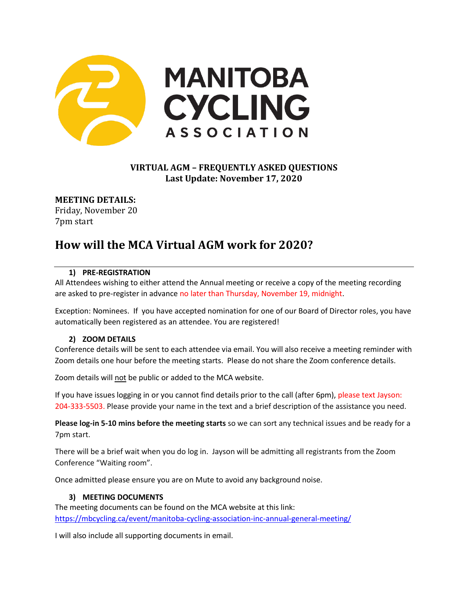

# **VIRTUAL AGM – FREQUENTLY ASKED QUESTIONS Last Update: November 17, 2020**

**MEETING DETAILS:** Friday, November 20 7pm start

# **How will the MCA Virtual AGM work for 2020?**

## **1) PRE-REGISTRATION**

All Attendees wishing to either attend the Annual meeting or receive a copy of the meeting recording are asked to pre-register in advance no later than Thursday, November 19, midnight.

Exception: Nominees. If you have accepted nomination for one of our Board of Director roles, you have automatically been registered as an attendee. You are registered!

#### **2) ZOOM DETAILS**

Conference details will be sent to each attendee via email. You will also receive a meeting reminder with Zoom details one hour before the meeting starts. Please do not share the Zoom conference details.

Zoom details will not be public or added to the MCA website.

If you have issues logging in or you cannot find details prior to the call (after 6pm), please text Jayson: 204-333-5503. Please provide your name in the text and a brief description of the assistance you need.

**Please log-in 5-10 mins before the meeting starts** so we can sort any technical issues and be ready for a 7pm start.

There will be a brief wait when you do log in. Jayson will be admitting all registrants from the Zoom Conference "Waiting room".

Once admitted please ensure you are on Mute to avoid any background noise.

#### **3) MEETING DOCUMENTS**

The meeting documents can be found on the MCA website at this link: <https://mbcycling.ca/event/manitoba-cycling-association-inc-annual-general-meeting/>

I will also include all supporting documents in email.